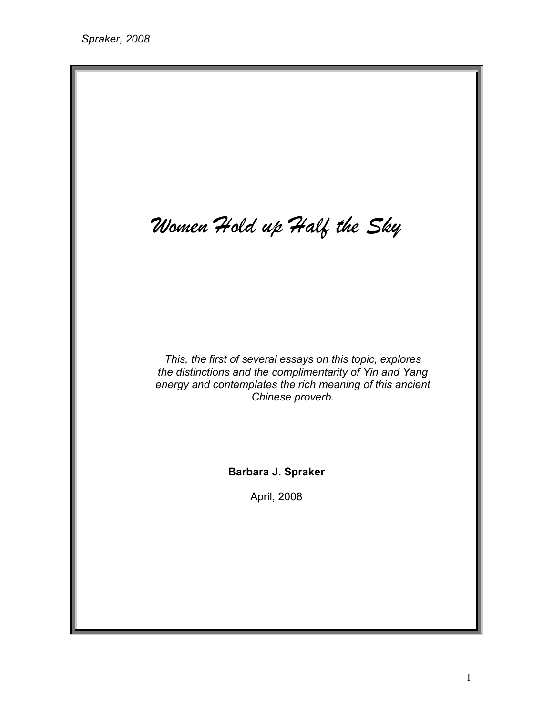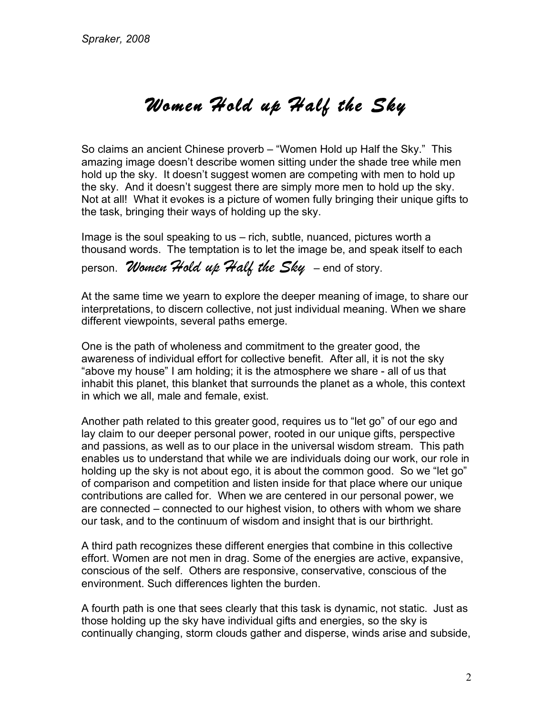## *Women Hold up Half the Sky*

So claims an ancient Chinese proverb – "Women Hold up Half the Sky." This amazing image doesn't describe women sitting under the shade tree while men hold up the sky. It doesn't suggest women are competing with men to hold up the sky. And it doesn't suggest there are simply more men to hold up the sky. Not at all! What it evokes is a picture of women fully bringing their unique gifts to the task, bringing their ways of holding up the sky.

Image is the soul speaking to us – rich, subtle, nuanced, pictures worth a thousand words. The temptation is to let the image be, and speak itself to each

## person. *Women Hold up Half the Sky* – end of story.

At the same time we yearn to explore the deeper meaning of image, to share our interpretations, to discern collective, not just individual meaning. When we share different viewpoints, several paths emerge.

One is the path of wholeness and commitment to the greater good, the awareness of individual effort for collective benefit. After all, it is not the sky "above my house" I am holding; it is the atmosphere we share - all of us that inhabit this planet, this blanket that surrounds the planet as a whole, this context in which we all, male and female, exist.

Another path related to this greater good, requires us to "let go" of our ego and lay claim to our deeper personal power, rooted in our unique gifts, perspective and passions, as well as to our place in the universal wisdom stream. This path enables us to understand that while we are individuals doing our work, our role in holding up the sky is not about ego, it is about the common good. So we "let go" of comparison and competition and listen inside for that place where our unique contributions are called for. When we are centered in our personal power, we are connected – connected to our highest vision, to others with whom we share our task, and to the continuum of wisdom and insight that is our birthright.

A third path recognizes these different energies that combine in this collective effort. Women are not men in drag. Some of the energies are active, expansive, conscious of the self. Others are responsive, conservative, conscious of the environment. Such differences lighten the burden.

A fourth path is one that sees clearly that this task is dynamic, not static. Just as those holding up the sky have individual gifts and energies, so the sky is continually changing, storm clouds gather and disperse, winds arise and subside,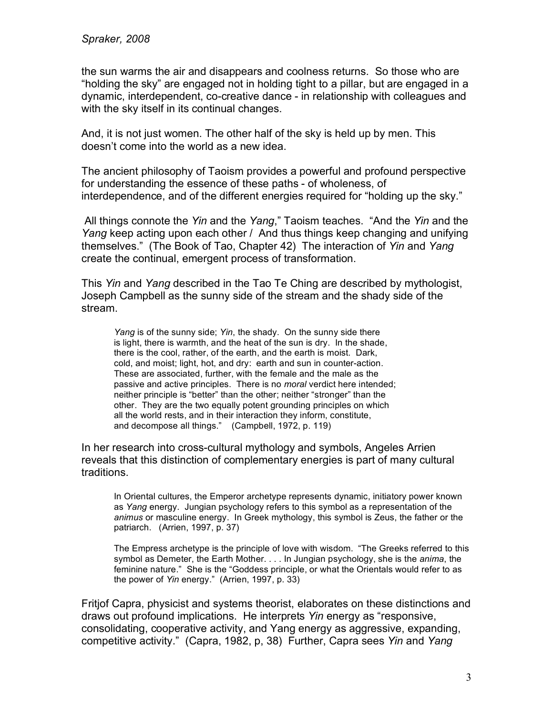the sun warms the air and disappears and coolness returns. So those who are "holding the sky" are engaged not in holding tight to a pillar, but are engaged in a dynamic, interdependent, co-creative dance - in relationship with colleagues and with the sky itself in its continual changes.

And, it is not just women. The other half of the sky is held up by men. This doesn't come into the world as a new idea.

The ancient philosophy of Taoism provides a powerful and profound perspective for understanding the essence of these paths - of wholeness, of interdependence, and of the different energies required for "holding up the sky."

All things connote the *Yin* and the *Yang*," Taoism teaches. "And the *Yin* and the *Yang* keep acting upon each other / And thus things keep changing and unifying themselves." (The Book of Tao, Chapter 42) The interaction of *Yin* and *Yang* create the continual, emergent process of transformation.

This *Yin* and *Yang* described in the Tao Te Ching are described by mythologist, Joseph Campbell as the sunny side of the stream and the shady side of the stream.

*Yang* is of the sunny side; *Yin*, the shady. On the sunny side there is light, there is warmth, and the heat of the sun is dry. In the shade, there is the cool, rather, of the earth, and the earth is moist. Dark, cold, and moist; light, hot, and dry: earth and sun in counter-action. These are associated, further, with the female and the male as the passive and active principles. There is no *moral* verdict here intended; neither principle is "better" than the other; neither "stronger" than the other. They are the two equally potent grounding principles on which all the world rests, and in their interaction they inform, constitute, and decompose all things." (Campbell, 1972, p. 119)

In her research into cross-cultural mythology and symbols, Angeles Arrien reveals that this distinction of complementary energies is part of many cultural traditions.

In Oriental cultures, the Emperor archetype represents dynamic, initiatory power known as *Yang* energy. Jungian psychology refers to this symbol as a representation of the *animus* or masculine energy. In Greek mythology, this symbol is Zeus, the father or the patriarch. (Arrien, 1997, p. 37)

The Empress archetype is the principle of love with wisdom. "The Greeks referred to this symbol as Demeter, the Earth Mother. . . . In Jungian psychology, she is the *anima*, the feminine nature." She is the "Goddess principle, or what the Orientals would refer to as the power of *Yin* energy." (Arrien, 1997, p. 33)

Fritjof Capra, physicist and systems theorist, elaborates on these distinctions and draws out profound implications. He interprets *Yin* energy as "responsive, consolidating, cooperative activity, and Yang energy as aggressive, expanding, competitive activity." (Capra, 1982, p, 38) Further, Capra sees *Yin* and *Yang*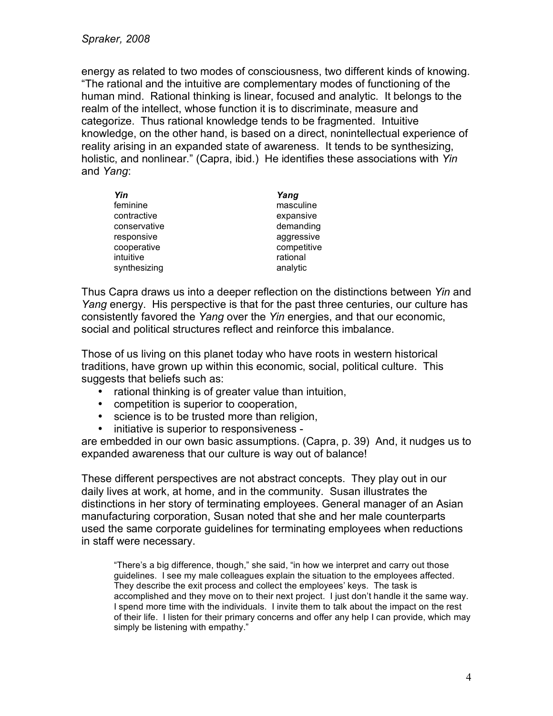energy as related to two modes of consciousness, two different kinds of knowing. "The rational and the intuitive are complementary modes of functioning of the human mind. Rational thinking is linear, focused and analytic. It belongs to the realm of the intellect, whose function it is to discriminate, measure and categorize. Thus rational knowledge tends to be fragmented. Intuitive knowledge, on the other hand, is based on a direct, nonintellectual experience of reality arising in an expanded state of awareness. It tends to be synthesizing, holistic, and nonlinear." (Capra, ibid.) He identifies these associations with *Yin* and *Yang*:

| Yin          | Yang        |
|--------------|-------------|
| feminine     | masculine   |
| contractive  | expansive   |
| conservative | demanding   |
| responsive   | aggressive  |
| cooperative  | competitive |
| intuitive    | rational    |
| synthesizing | analytic    |

Thus Capra draws us into a deeper reflection on the distinctions between *Yin* and *Yang* energy. His perspective is that for the past three centuries, our culture has consistently favored the *Yang* over the *Yin* energies, and that our economic, social and political structures reflect and reinforce this imbalance.

Those of us living on this planet today who have roots in western historical traditions, have grown up within this economic, social, political culture. This suggests that beliefs such as:

- rational thinking is of greater value than intuition,
- competition is superior to cooperation,
- science is to be trusted more than religion,
- initiative is superior to responsiveness -

are embedded in our own basic assumptions. (Capra, p. 39) And, it nudges us to expanded awareness that our culture is way out of balance!

These different perspectives are not abstract concepts. They play out in our daily lives at work, at home, and in the community. Susan illustrates the distinctions in her story of terminating employees. General manager of an Asian manufacturing corporation, Susan noted that she and her male counterparts used the same corporate guidelines for terminating employees when reductions in staff were necessary.

"There's a big difference, though," she said, "in how we interpret and carry out those guidelines. I see my male colleagues explain the situation to the employees affected. They describe the exit process and collect the employees' keys. The task is accomplished and they move on to their next project. I just don't handle it the same way. I spend more time with the individuals. I invite them to talk about the impact on the rest of their life. I listen for their primary concerns and offer any help I can provide, which may simply be listening with empathy."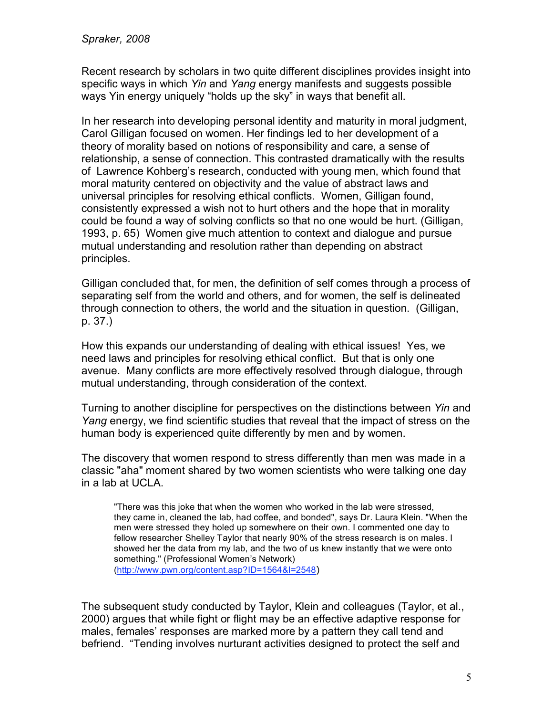Recent research by scholars in two quite different disciplines provides insight into specific ways in which *Yin* and *Yang* energy manifests and suggests possible ways Yin energy uniquely "holds up the sky" in ways that benefit all.

In her research into developing personal identity and maturity in moral judgment, Carol Gilligan focused on women. Her findings led to her development of a theory of morality based on notions of responsibility and care, a sense of relationship, a sense of connection. This contrasted dramatically with the results of Lawrence Kohberg's research, conducted with young men, which found that moral maturity centered on objectivity and the value of abstract laws and universal principles for resolving ethical conflicts. Women, Gilligan found, consistently expressed a wish not to hurt others and the hope that in morality could be found a way of solving conflicts so that no one would be hurt. (Gilligan, 1993, p. 65) Women give much attention to context and dialogue and pursue mutual understanding and resolution rather than depending on abstract principles.

Gilligan concluded that, for men, the definition of self comes through a process of separating self from the world and others, and for women, the self is delineated through connection to others, the world and the situation in question. (Gilligan, p. 37.)

How this expands our understanding of dealing with ethical issues! Yes, we need laws and principles for resolving ethical conflict. But that is only one avenue. Many conflicts are more effectively resolved through dialogue, through mutual understanding, through consideration of the context.

Turning to another discipline for perspectives on the distinctions between *Yin* and *Yang* energy, we find scientific studies that reveal that the impact of stress on the human body is experienced quite differently by men and by women.

The discovery that women respond to stress differently than men was made in a classic "aha" moment shared by two women scientists who were talking one day in a lab at UCLA.

"There was this joke that when the women who worked in the lab were stressed, they came in, cleaned the lab, had coffee, and bonded", says Dr. Laura Klein. "When the men were stressed they holed up somewhere on their own. I commented one day to fellow researcher Shelley Taylor that nearly 90% of the stress research is on males. I showed her the data from my lab, and the two of us knew instantly that we were onto something." (Professional Women's Network) (http://www.pwn.org/content.asp?ID=1564&I=2548)

The subsequent study conducted by Taylor, Klein and colleagues (Taylor, et al., 2000) argues that while fight or flight may be an effective adaptive response for males, females' responses are marked more by a pattern they call tend and befriend. "Tending involves nurturant activities designed to protect the self and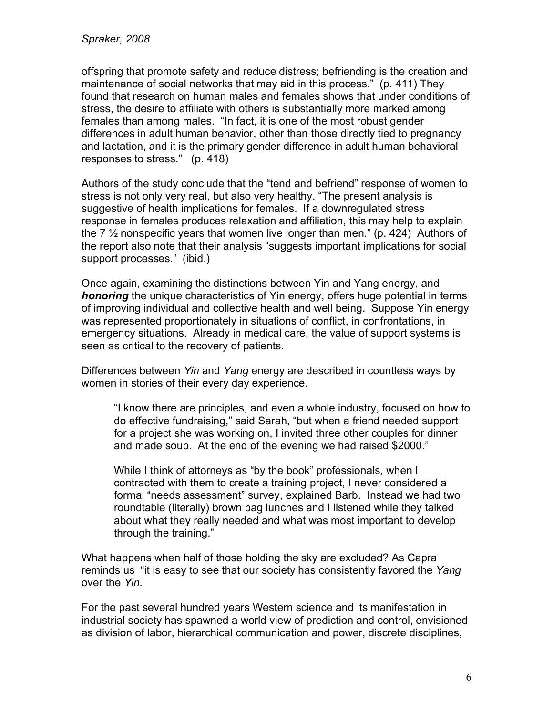offspring that promote safety and reduce distress; befriending is the creation and maintenance of social networks that may aid in this process." (p. 411) They found that research on human males and females shows that under conditions of stress, the desire to affiliate with others is substantially more marked among females than among males. "In fact, it is one of the most robust gender differences in adult human behavior, other than those directly tied to pregnancy and lactation, and it is the primary gender difference in adult human behavioral responses to stress." (p. 418)

Authors of the study conclude that the "tend and befriend" response of women to stress is not only very real, but also very healthy. "The present analysis is suggestive of health implications for females. If a downregulated stress response in females produces relaxation and affiliation, this may help to explain the 7  $\frac{1}{2}$  nonspecific years that women live longer than men." (p. 424) Authors of the report also note that their analysis "suggests important implications for social support processes." (ibid.)

Once again, examining the distinctions between Yin and Yang energy, and *honoring* the unique characteristics of Yin energy, offers huge potential in terms of improving individual and collective health and well being. Suppose Yin energy was represented proportionately in situations of conflict, in confrontations, in emergency situations. Already in medical care, the value of support systems is seen as critical to the recovery of patients.

Differences between *Yin* and *Yang* energy are described in countless ways by women in stories of their every day experience.

"I know there are principles, and even a whole industry, focused on how to do effective fundraising," said Sarah, "but when a friend needed support for a project she was working on, I invited three other couples for dinner and made soup. At the end of the evening we had raised \$2000."

While I think of attorneys as "by the book" professionals, when I contracted with them to create a training project, I never considered a formal "needs assessment" survey, explained Barb. Instead we had two roundtable (literally) brown bag lunches and I listened while they talked about what they really needed and what was most important to develop through the training."

What happens when half of those holding the sky are excluded? As Capra reminds us "it is easy to see that our society has consistently favored the *Yang* over the *Yin*.

For the past several hundred years Western science and its manifestation in industrial society has spawned a world view of prediction and control, envisioned as division of labor, hierarchical communication and power, discrete disciplines,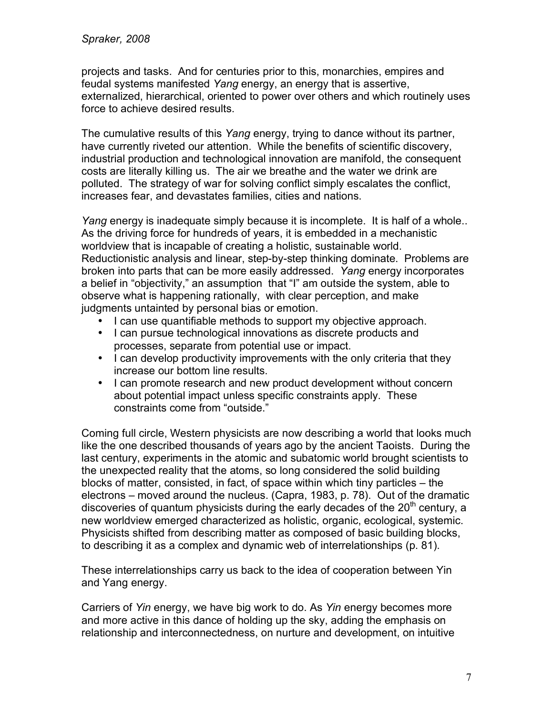projects and tasks. And for centuries prior to this, monarchies, empires and feudal systems manifested *Yang* energy, an energy that is assertive, externalized, hierarchical, oriented to power over others and which routinely uses force to achieve desired results.

The cumulative results of this *Yang* energy, trying to dance without its partner, have currently riveted our attention. While the benefits of scientific discovery, industrial production and technological innovation are manifold, the consequent costs are literally killing us. The air we breathe and the water we drink are polluted. The strategy of war for solving conflict simply escalates the conflict, increases fear, and devastates families, cities and nations.

*Yang* energy is inadequate simply because it is incomplete. It is half of a whole.. As the driving force for hundreds of years, it is embedded in a mechanistic worldview that is incapable of creating a holistic, sustainable world. Reductionistic analysis and linear, step-by-step thinking dominate. Problems are broken into parts that can be more easily addressed. *Yang* energy incorporates a belief in "objectivity," an assumption that "I" am outside the system, able to observe what is happening rationally, with clear perception, and make judgments untainted by personal bias or emotion.

- I can use quantifiable methods to support my objective approach.
- I can pursue technological innovations as discrete products and processes, separate from potential use or impact.
- I can develop productivity improvements with the only criteria that they increase our bottom line results.
- I can promote research and new product development without concern about potential impact unless specific constraints apply. These constraints come from "outside."

Coming full circle, Western physicists are now describing a world that looks much like the one described thousands of years ago by the ancient Taoists. During the last century, experiments in the atomic and subatomic world brought scientists to the unexpected reality that the atoms, so long considered the solid building blocks of matter, consisted, in fact, of space within which tiny particles – the electrons – moved around the nucleus. (Capra, 1983, p. 78). Out of the dramatic discoveries of quantum physicists during the early decades of the  $20<sup>th</sup>$  century, a new worldview emerged characterized as holistic, organic, ecological, systemic. Physicists shifted from describing matter as composed of basic building blocks, to describing it as a complex and dynamic web of interrelationships (p. 81).

These interrelationships carry us back to the idea of cooperation between Yin and Yang energy.

Carriers of *Yin* energy, we have big work to do. As *Yin* energy becomes more and more active in this dance of holding up the sky, adding the emphasis on relationship and interconnectedness, on nurture and development, on intuitive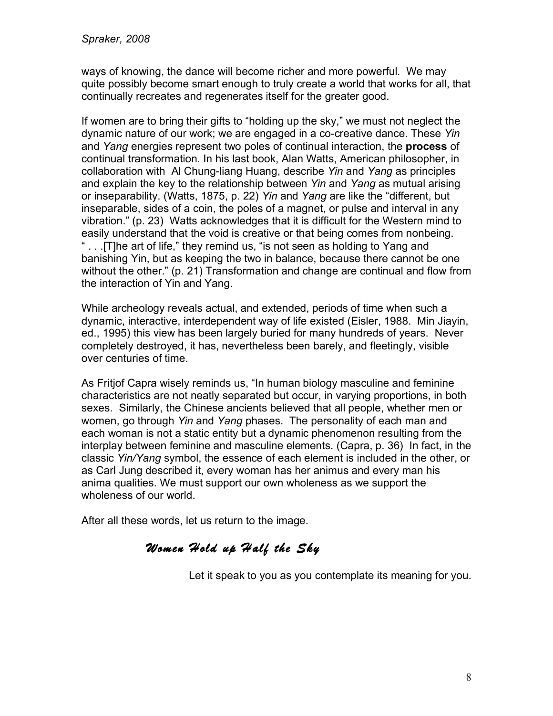ways of knowing, the dance will become richer and more powerful. We may quite possibly become smart enough to truly create a world that works for all, that continually recreates and regenerates itself for the greater good.

If women are to bring their gifts to "holding up the sky," we must not neglect the dynamic nature of our work; we are engaged in a co-creative dance. These *Yin* and *Yang* energies represent two poles of continual interaction, the **process** of continual transformation. In his last book, Alan Watts, American philosopher, in collaboration with Al Chung-liang Huang, describe *Yin* and *Yang* as principles and explain the key to the relationship between *Yin* and *Yang* as mutual arising or inseparability. (Watts, 1875, p. 22) *Yin* and *Yang* are like the "different, but inseparable, sides of a coin, the poles of a magnet, or pulse and interval in any vibration." (p. 23) Watts acknowledges that it is difficult for the Western mind to easily understand that the void is creative or that being comes from nonbeing. ... The art of life," they remind us, "is not seen as holding to Yang and banishing Yin, but as keeping the two in balance, because there cannot be one without the other." (p. 21) Transformation and change are continual and flow from the interaction of Yin and Yang.

While archeology reveals actual, and extended, periods of time when such a dynamic, interactive, interdependent way of life existed (Eisler, 1988. Min Jiayin, ed., 1995) this view has been largely buried for many hundreds of years. Never completely destroyed, it has, nevertheless been barely, and fleetingly, visible over centuries of time.

As Fritjof Capra wisely reminds us, "In human biology masculine and feminine characteristics are not neatly separated but occur, in varying proportions, in both sexes. Similarly, the Chinese ancients believed that all people, whether men or women, go through *Yin* and *Yang* phases. The personality of each man and each woman is not a static entity but a dynamic phenomenon resulting from the interplay between feminine and masculine elements. (Capra, p. 36) In fact, in the classic *Yin/Yang* symbol, the essence of each element is included in the other, or as Carl Jung described it, every woman has her animus and every man his anima qualities. We must support our own wholeness as we support the wholeness of our world.

After all these words, let us return to the image.

## *Women Hold up Half the Sky*

Let it speak to you as you contemplate its meaning for you.